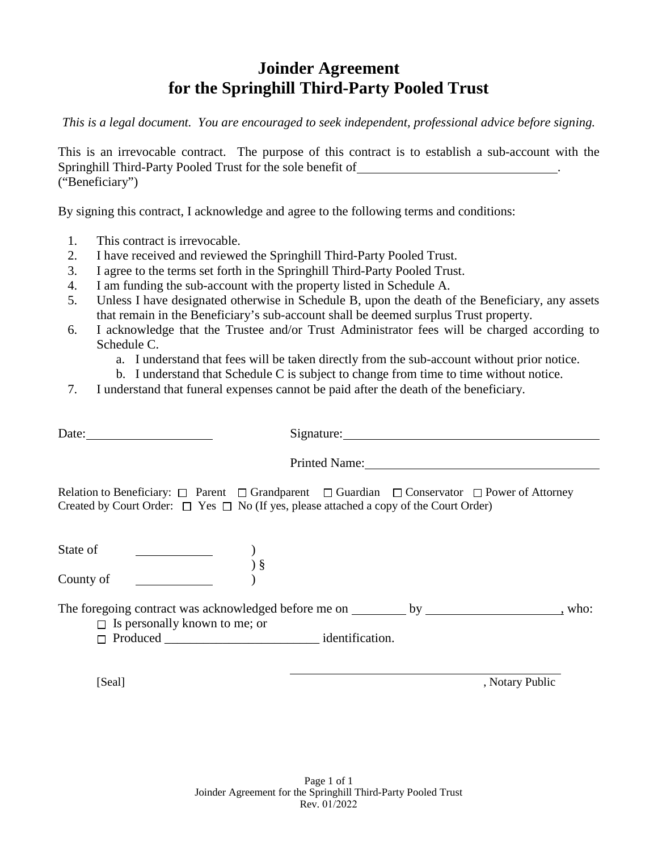## **Joinder Agreement for the Springhill Third-Party Pooled Trust**

*This is a legal document. You are encouraged to seek independent, professional advice before signing.* 

This is an irrevocable contract. The purpose of this contract is to establish a sub-account with the Springhill Third-Party Pooled Trust for the sole benefit of . ("Beneficiary")

By signing this contract, I acknowledge and agree to the following terms and conditions:

- 1. This contract is irrevocable.
- 2. I have received and reviewed the Springhill Third-Party Pooled Trust.
- 3. I agree to the terms set forth in the Springhill Third-Party Pooled Trust.
- 4. I am funding the sub-account with the property listed in Schedule A.
- 5. Unless I have designated otherwise in Schedule B, upon the death of the Beneficiary, any assets that remain in the Beneficiary's sub-account shall be deemed surplus Trust property.
- 6. I acknowledge that the Trustee and/or Trust Administrator fees will be charged according to Schedule C.
	- a. I understand that fees will be taken directly from the sub-account without prior notice.
	- b. I understand that Schedule C is subject to change from time to time without notice.
- 7. I understand that funeral expenses cannot be paid after the death of the beneficiary.

| Date: $\qquad \qquad$                                                                                                                                                                                                                                                         | Signature: Signature:                                                                                                 |
|-------------------------------------------------------------------------------------------------------------------------------------------------------------------------------------------------------------------------------------------------------------------------------|-----------------------------------------------------------------------------------------------------------------------|
|                                                                                                                                                                                                                                                                               |                                                                                                                       |
| Created by Court Order: $\Box$ Yes $\Box$ No (If yes, please attached a copy of the Court Order)                                                                                                                                                                              | Relation to Beneficiary: $\Box$ Parent $\Box$ Grandparent $\Box$ Guardian $\Box$ Conservator $\Box$ Power of Attorney |
| State of<br>ate of <u>we are not a</u> set of the set of the set of the set of the set of the set of the set of the set of the set of the set of the set of the set of the set of the set of the set of the set of the set of the set of the se<br>$\frac{1}{3}$<br>County of |                                                                                                                       |
| $\Box$ Is personally known to me; or<br>$\Box$ Produced identification.                                                                                                                                                                                                       | who:                                                                                                                  |

[Seal] , Notary Public , Notary Public , Notary Public , Notary Public , Notary Public , Notary Public , Notary Public , Notary Public , Notary Public , Notary Public , Notary Public , Notary Public , Notary Public , Notar